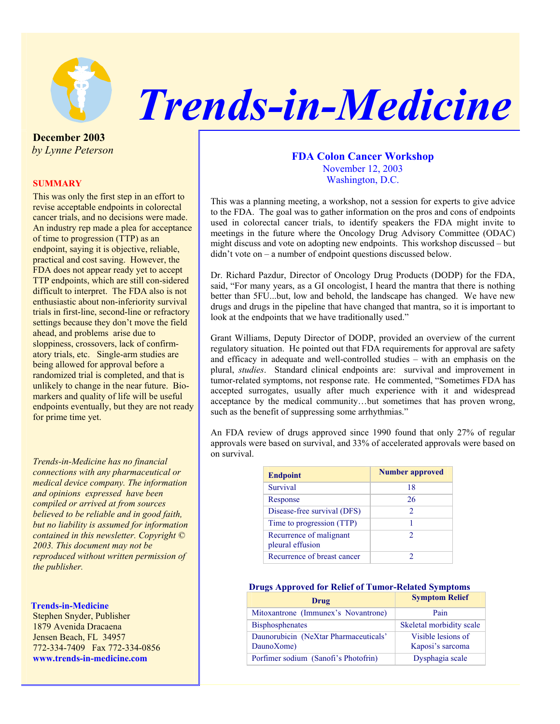

# *Trends-in-Medicine*

**December 2003**   *by Lynne Peterson* 

## **SUMMARY**

This was only the first step in an effort to revise acceptable endpoints in colorectal cancer trials, and no decisions were made. An industry rep made a plea for acceptance of time to progression (TTP) as an endpoint, saying it is objective, reliable, practical and cost saving. However, the FDA does not appear ready yet to accept TTP endpoints, which are still con-sidered difficult to interpret. The FDA also is not enthusiastic about non-inferiority survival trials in first-line, second-line or refractory settings because they don't move the field ahead, and problems arise due to sloppiness, crossovers, lack of confirmatory trials, etc. Single-arm studies are being allowed for approval before a randomized trial is completed, and that is unlikely to change in the near future. Biomarkers and quality of life will be useful endpoints eventually, but they are not ready for prime time yet.

*Trends-in-Medicine has no financial connections with any pharmaceutical or medical device company. The information and opinions expressed have been compiled or arrived at from sources believed to be reliable and in good faith, but no liability is assumed for information contained in this newsletter. Copyright © 2003. This document may not be reproduced without written permission of the publisher.* 

#### **Trends-in-Medicine**

Stephen Snyder, Publisher 1879 Avenida Dracaena Jensen Beach, FL 34957 772-334-7409 Fax 772-334-0856 **www.trends-in-medicine.com** 

# **FDA Colon Cancer Workshop**  November 12, 2003 Washington, D.C.

This was a planning meeting, a workshop, not a session for experts to give advice to the FDA. The goal was to gather information on the pros and cons of endpoints used in colorectal cancer trials, to identify speakers the FDA might invite to meetings in the future where the Oncology Drug Advisory Committee (ODAC) might discuss and vote on adopting new endpoints. This workshop discussed – but didn't vote on – a number of endpoint questions discussed below.

Dr. Richard Pazdur, Director of Oncology Drug Products (DODP) for the FDA, said, "For many years, as a GI oncologist, I heard the mantra that there is nothing better than 5FU...but, low and behold, the landscape has changed. We have new drugs and drugs in the pipeline that have changed that mantra, so it is important to look at the endpoints that we have traditionally used."

Grant Williams, Deputy Director of DODP, provided an overview of the current regulatory situation. He pointed out that FDA requirements for approval are safety and efficacy in adequate and well-controlled studies – with an emphasis on the plural, *studies*. Standard clinical endpoints are: survival and improvement in tumor-related symptoms, not response rate. He commented, "Sometimes FDA has accepted surrogates, usually after much experience with it and widespread acceptance by the medical community…but sometimes that has proven wrong, such as the benefit of suppressing some arrhythmias."

An FDA review of drugs approved since 1990 found that only 27% of regular approvals were based on survival, and 33% of accelerated approvals were based on on survival.

| <b>Endpoint</b>                             | <b>Number approved</b> |
|---------------------------------------------|------------------------|
| Survival                                    | 18                     |
| Response                                    | 26                     |
| Disease-free survival (DFS)                 | $\mathfrak{D}$         |
| Time to progression (TTP)                   |                        |
| Recurrence of malignant<br>pleural effusion | $\mathfrak{D}$         |
| Recurrence of breast cancer                 |                        |

# **Drugs Approved for Relief of Tumor-Related Symptoms**

| Drug                                                | <b>Symptom Relief</b>                  |
|-----------------------------------------------------|----------------------------------------|
| Mitoxantrone (Immunex's Novantrone)                 | Pain                                   |
| <b>Bisphosphenates</b>                              | Skeletal morbidity scale               |
| Daunorubicin (NeXtar Pharmaceuticals'<br>DaunoXome) | Visible lesions of<br>Kaposi's sarcoma |
| Porfimer sodium (Sanofi's Photofrin)                | Dysphagia scale                        |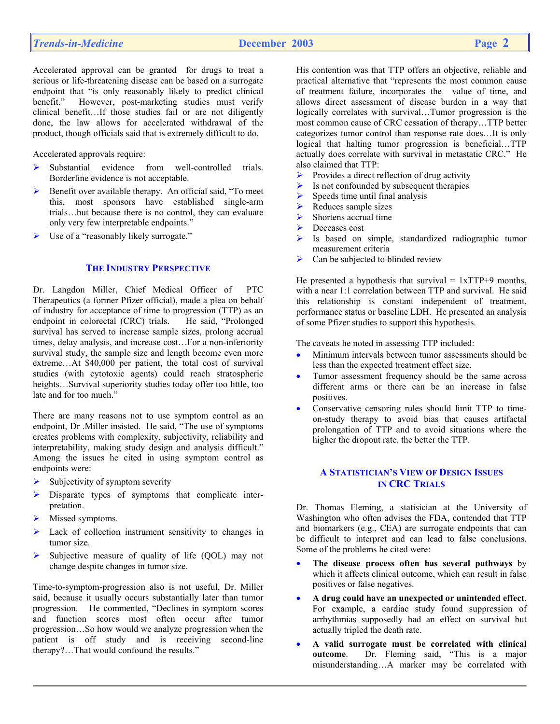Accelerated approval can be granted for drugs to treat a serious or life-threatening disease can be based on a surrogate endpoint that "is only reasonably likely to predict clinical benefit." However, post-marketing studies must verify clinical benefit…If those studies fail or are not diligently done, the law allows for accelerated withdrawal of the product, though officials said that is extremely difficult to do.

Accelerated approvals require:

- ¾ Substantial evidence from well-controlled trials. Borderline evidence is not acceptable.
- Benefit over available therapy. An official said, "To meet this, most sponsors have established single-arm trials…but because there is no control, they can evaluate only very few interpretable endpoints."
- ¾ Use of a "reasonably likely surrogate."

### **THE INDUSTRY PERSPECTIVE**

Dr. Langdon Miller, Chief Medical Officer of PTC Therapeutics (a former Pfizer official), made a plea on behalf of industry for acceptance of time to progression (TTP) as an endpoint in colorectal (CRC) trials. He said, "Prolonged survival has served to increase sample sizes, prolong accrual times, delay analysis, and increase cost…For a non-inferiority survival study, the sample size and length become even more extreme…At \$40,000 per patient, the total cost of survival studies (with cytotoxic agents) could reach stratospheric heights…Survival superiority studies today offer too little, too late and for too much."

There are many reasons not to use symptom control as an endpoint, Dr .Miller insisted. He said, "The use of symptoms creates problems with complexity, subjectivity, reliability and interpretability, making study design and analysis difficult." Among the issues he cited in using symptom control as endpoints were:

- Subjectivity of symptom severity
- Disparate types of symptoms that complicate interpretation.
- Missed symptoms.
- Lack of collection instrument sensitivity to changes in tumor size.
- $\triangleright$  Subjective measure of quality of life (QOL) may not change despite changes in tumor size.

Time-to-symptom-progression also is not useful, Dr. Miller said, because it usually occurs substantially later than tumor progression. He commented, "Declines in symptom scores and function scores most often occur after tumor progression…So how would we analyze progression when the patient is off study and is receiving second-line therapy?…That would confound the results."

His contention was that TTP offers an objective, reliable and practical alternative that "represents the most common cause of treatment failure, incorporates the value of time, and allows direct assessment of disease burden in a way that logically correlates with survival…Tumor progression is the most common cause of CRC cessation of therapy…TTP better categorizes tumor control than response rate does…It is only logical that halting tumor progression is beneficial…TTP actually does correlate with survival in metastatic CRC." He also claimed that TTP:

- $\triangleright$  Provides a direct reflection of drug activity
- $\triangleright$  Is not confounded by subsequent therapies
- $\triangleright$  Speeds time until final analysis
- $\triangleright$  Reduces sample sizes
- Shortens accrual time
- ▶ Deceases cost
- Is based on simple, standardized radiographic tumor measurement criteria
- $\triangleright$  Can be subjected to blinded review

He presented a hypothesis that survival  $= 1xTTP+9$  months, with a near 1:1 correlation between TTP and survival. He said this relationship is constant independent of treatment, performance status or baseline LDH. He presented an analysis of some Pfizer studies to support this hypothesis.

The caveats he noted in assessing TTP included:

- Minimum intervals between tumor assessments should be less than the expected treatment effect size.
- Tumor assessment frequency should be the same across different arms or there can be an increase in false positives.
- Conservative censoring rules should limit TTP to timeon-study therapy to avoid bias that causes artifactal prolongation of TTP and to avoid situations where the higher the dropout rate, the better the TTP.

# **A STATISTICIAN'S VIEW OF DESIGN ISSUES IN CRC TRIALS**

Dr. Thomas Fleming, a statisician at the University of Washington who often advises the FDA, contended that TTP and biomarkers (e.g., CEA) are surrogate endpoints that can be difficult to interpret and can lead to false conclusions. Some of the problems he cited were:

- **The disease process often has several pathways** by which it affects clinical outcome, which can result in false positives or false negatives.
- **A drug could have an unexpected or unintended effect**. For example, a cardiac study found suppression of arrhythmias supposedly had an effect on survival but actually tripled the death rate.
- **A valid surrogate must be correlated with clinical outcome**. Dr. Fleming said, "This is a major misunderstanding…A marker may be correlated with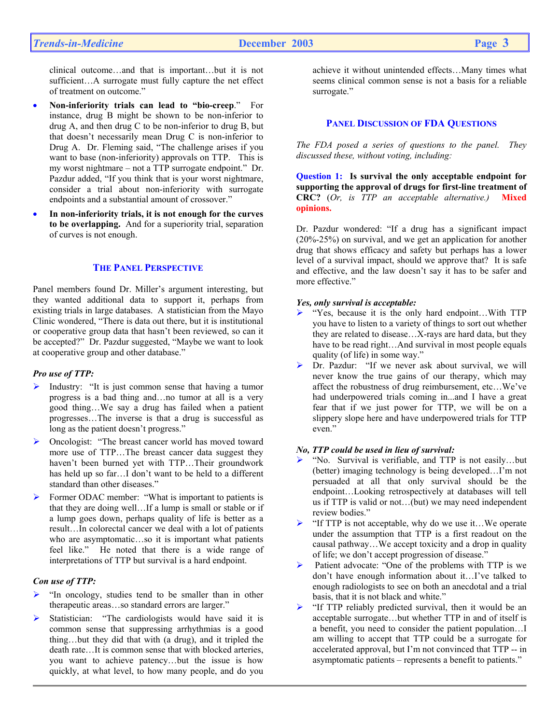clinical outcome…and that is important…but it is not sufficient...A surrogate must fully capture the net effect of treatment on outcome."

- **Non-inferiority trials can lead to "bio-creep**." For instance, drug B might be shown to be non-inferior to drug A, and then drug C to be non-inferior to drug B, but that doesn't necessarily mean Drug C is non-inferior to Drug A. Dr. Fleming said, "The challenge arises if you want to base (non-inferiority) approvals on TTP. This is my worst nightmare – not a TTP surrogate endpoint." Dr. Pazdur added, "If you think that is your worst nightmare, consider a trial about non-inferiority with surrogate endpoints and a substantial amount of crossover."
- **In non-inferiority trials, it is not enough for the curves to be overlapping.** And for a superiority trial, separation of curves is not enough.

### **THE PANEL PERSPECTIVE**

Panel members found Dr. Miller's argument interesting, but they wanted additional data to support it, perhaps from existing trials in large databases. A statistician from the Mayo Clinic wondered, "There is data out there, but it is institutional or cooperative group data that hasn't been reviewed, so can it be accepted?" Dr. Pazdur suggested, "Maybe we want to look at cooperative group and other database."

#### *Pro use of TTP:*

- $\triangleright$  Industry: "It is just common sense that having a tumor progress is a bad thing and…no tumor at all is a very good thing…We say a drug has failed when a patient progresses…The inverse is that a drug is successful as long as the patient doesn't progress."
- ¾ Oncologist: "The breast cancer world has moved toward more use of TTP…The breast cancer data suggest they haven't been burned yet with TTP…Their groundwork has held up so far…I don't want to be held to a different standard than other diseases."
- ¾ Former ODAC member: "What is important to patients is that they are doing well…If a lump is small or stable or if a lump goes down, perhaps quality of life is better as a result…In colorectal cancer we deal with a lot of patients who are asymptomatic…so it is important what patients feel like." He noted that there is a wide range of interpretations of TTP but survival is a hard endpoint.

#### *Con use of TTP:*

- ¾ "In oncology, studies tend to be smaller than in other therapeutic areas…so standard errors are larger."
- Statistician: "The cardiologists would have said it is common sense that suppressing arrhythmias is a good thing…but they did that with (a drug), and it tripled the death rate…It is common sense that with blocked arteries, you want to achieve patency…but the issue is how quickly, at what level, to how many people, and do you

achieve it without unintended effects…Many times what seems clinical common sense is not a basis for a reliable surrogate."

# **PANEL DISCUSSION OF FDA QUESTIONS**

*The FDA posed a series of questions to the panel. They discussed these, without voting, including:* 

**Question 1: Is survival the only acceptable endpoint for supporting the approval of drugs for first-line treatment of CRC?** (*Or, is TTP an acceptable alternative.)* **Mixed opinions.**

Dr. Pazdur wondered: "If a drug has a significant impact (20%-25%) on survival, and we get an application for another drug that shows efficacy and safety but perhaps has a lower level of a survival impact, should we approve that? It is safe and effective, and the law doesn't say it has to be safer and more effective."

#### *Yes, only survival is acceptable:*

- ¾ "Yes, because it is the only hard endpoint…With TTP you have to listen to a variety of things to sort out whether they are related to disease…X-rays are hard data, but they have to be read right...And survival in most people equals quality (of life) in some way."
- ¾ Dr. Pazdur: "If we never ask about survival, we will never know the true gains of our therapy, which may affect the robustness of drug reimbursement, etc…We've had underpowered trials coming in...and I have a great fear that if we just power for TTP, we will be on a slippery slope here and have underpowered trials for TTP even."

#### *No, TTP could be used in lieu of survival:*

- ¾ "No. Survival is verifiable, and TTP is not easily…but (better) imaging technology is being developed…I'm not persuaded at all that only survival should be the endpoint…Looking retrospectively at databases will tell us if TTP is valid or not…(but) we may need independent review bodies."
- ¾ "If TTP is not acceptable, why do we use it…We operate under the assumption that TTP is a first readout on the causal pathway…We accept toxicity and a drop in quality of life; we don't accept progression of disease."
- ¾ Patient advocate: "One of the problems with TTP is we don't have enough information about it…I've talked to enough radiologists to see on both an anecdotal and a trial basis, that it is not black and white."
- $\triangleright$  "If TTP reliably predicted survival, then it would be an acceptable surrogate…but whether TTP in and of itself is a benefit, you need to consider the patient population…I am willing to accept that TTP could be a surrogate for accelerated approval, but I'm not convinced that TTP -- in asymptomatic patients – represents a benefit to patients."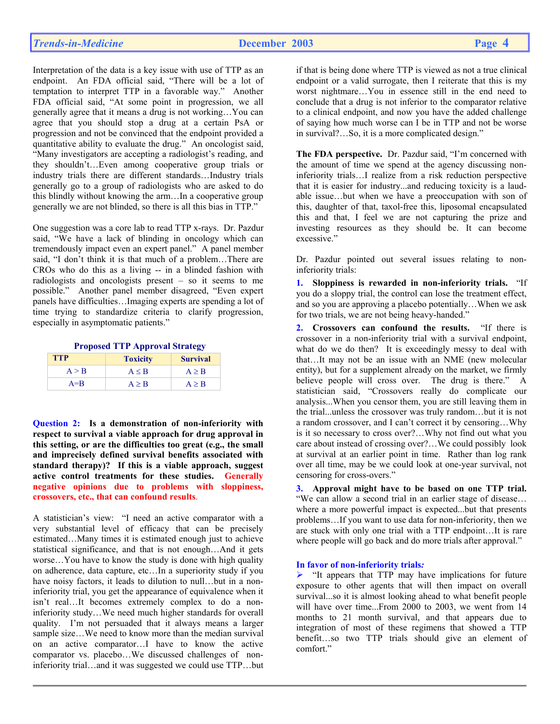Interpretation of the data is a key issue with use of TTP as an endpoint. An FDA official said, "There will be a lot of temptation to interpret TTP in a favorable way." Another FDA official said, "At some point in progression, we all generally agree that it means a drug is not working…You can agree that you should stop a drug at a certain PsA or progression and not be convinced that the endpoint provided a quantitative ability to evaluate the drug." An oncologist said, "Many investigators are accepting a radiologist's reading, and they shouldn't…Even among cooperative group trials or industry trials there are different standards…Industry trials generally go to a group of radiologists who are asked to do this blindly without knowing the arm…In a cooperative group generally we are not blinded, so there is all this bias in TTP."

One suggestion was a core lab to read TTP x-rays. Dr. Pazdur said, "We have a lack of blinding in oncology which can tremendously impact even an expert panel." A panel member said, "I don't think it is that much of a problem…There are CROs who do this as a living -- in a blinded fashion with radiologists and oncologists present – so it seems to me possible." Another panel member disagreed, "Even expert panels have difficulties…Imaging experts are spending a lot of time trying to standardize criteria to clarify progression, especially in asymptomatic patients."

|  | <b>Proposed TTP Approval Strategy</b> |
|--|---------------------------------------|
|  |                                       |

| <b>TTP</b> | <b>Toxicity</b> | <b>Survival</b> |
|------------|-----------------|-----------------|
| A > B      | $A \leq B$      | $A \geq B$      |
| $A = B$    | A > B           | A > B           |

**Question 2: Is a demonstration of non-inferiority with respect to survival a viable approach for drug approval in this setting, or are the difficulties too great (e.g., the small and imprecisely defined survival benefits associated with standard therapy)? If this is a viable approach, suggest active control treatments for these studies. Generally negative opinions due to problems with sloppiness, crossovers, etc., that can confound results**.

A statistician's view: "I need an active comparator with a very substantial level of efficacy that can be precisely estimated…Many times it is estimated enough just to achieve statistical significance, and that is not enough…And it gets worse…You have to know the study is done with high quality on adherence, data capture, etc…In a superiority study if you have noisy factors, it leads to dilution to null...but in a noninferiority trial, you get the appearance of equivalence when it isn't real…It becomes extremely complex to do a noninferiority study…We need much higher standards for overall quality. I'm not persuaded that it always means a larger sample size…We need to know more than the median survival on an active comparator…I have to know the active comparator vs. placebo…We discussed challenges of noninferiority trial…and it was suggested we could use TTP…but

if that is being done where TTP is viewed as not a true clinical endpoint or a valid surrogate, then I reiterate that this is my worst nightmare…You in essence still in the end need to conclude that a drug is not inferior to the comparator relative to a clinical endpoint, and now you have the added challenge of saying how much worse can I be in TTP and not be worse in survival?…So, it is a more complicated design."

**The FDA perspective.** Dr. Pazdur said, "I'm concerned with the amount of time we spend at the agency discussing noninferiority trials…I realize from a risk reduction perspective that it is easier for industry...and reducing toxicity is a laudable issue…but when we have a preoccupation with son of this, daughter of that, taxol-free this, liposomal encapsulated this and that, I feel we are not capturing the prize and investing resources as they should be. It can become excessive."

Dr. Pazdur pointed out several issues relating to noninferiority trials:

**1. Sloppiness is rewarded in non-inferiority trials.** "If you do a sloppy trial, the control can lose the treatment effect, and so you are approving a placebo potentially…When we ask for two trials, we are not being heavy-handed."

**2. Crossovers can confound the results.** "If there is crossover in a non-inferiority trial with a survival endpoint, what do we do then? It is exceedingly messy to deal with that…It may not be an issue with an NME (new molecular entity), but for a supplement already on the market, we firmly believe people will cross over. The drug is there." A statistician said, "Crossovers really do complicate our analysis...When you censor them, you are still leaving them in the trial...unless the crossover was truly random…but it is not a random crossover, and I can't correct it by censoring…Why is it so necessary to cross over?…Why not find out what you care about instead of crossing over?…We could possibly look at survival at an earlier point in time. Rather than log rank over all time, may be we could look at one-year survival, not censoring for cross-overs."

**3. Approval might have to be based on one TTP trial.**  "We can allow a second trial in an earlier stage of disease… where a more powerful impact is expected...but that presents problems…If you want to use data for non-inferiority, then we are stuck with only one trial with a TTP endpoint…It is rare where people will go back and do more trials after approval."

#### **In favor of non-inferiority trials***:*

 $\triangleright$  "It appears that TTP may have implications for future exposure to other agents that will then impact on overall survival...so it is almost looking ahead to what benefit people will have over time...From 2000 to 2003, we went from 14 months to 21 month survival, and that appears due to integration of most of these regimens that showed a TTP benefit…so two TTP trials should give an element of comfort."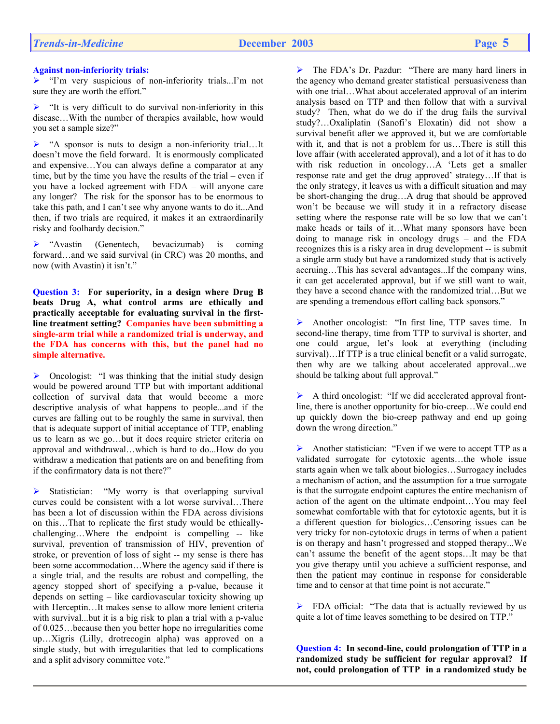## **Against non-inferiority trials:**

¾ "I'm very suspicious of non-inferiority trials...I'm not sure they are worth the effort."

 $\blacktriangleright$  "It is very difficult to do survival non-inferiority in this disease…With the number of therapies available, how would you set a sample size?"

 $\triangleright$  "A sponsor is nuts to design a non-inferiority trial...It doesn't move the field forward. It is enormously complicated and expensive…You can always define a comparator at any time, but by the time you have the results of the trial – even if you have a locked agreement with FDA – will anyone care any longer? The risk for the sponsor has to be enormous to take this path, and I can't see why anyone wants to do it...And then, if two trials are required, it makes it an extraordinarily risky and foolhardy decision."

¾ "Avastin (Genentech, bevacizumab) is coming forward…and we said survival (in CRC) was 20 months, and now (with Avastin) it isn't."

**Question 3: For superiority, in a design where Drug B beats Drug A, what control arms are ethically and practically acceptable for evaluating survival in the firstline treatment setting? Companies have been submitting a single-arm trial while a randomized trial is underway, and the FDA has concerns with this, but the panel had no simple alternative.**

 $\triangleright$  Oncologist: "I was thinking that the initial study design would be powered around TTP but with important additional collection of survival data that would become a more descriptive analysis of what happens to people...and if the curves are falling out to be roughly the same in survival, then that is adequate support of initial acceptance of TTP, enabling us to learn as we go…but it does require stricter criteria on approval and withdrawal…which is hard to do...How do you withdraw a medication that patients are on and benefiting from if the confirmatory data is not there?"

 $\triangleright$  Statistician: "My worry is that overlapping survival curves could be consistent with a lot worse survival…There has been a lot of discussion within the FDA across divisions on this…That to replicate the first study would be ethicallychallenging…Where the endpoint is compelling -- like survival, prevention of transmission of HIV, prevention of stroke, or prevention of loss of sight -- my sense is there has been some accommodation…Where the agency said if there is a single trial, and the results are robust and compelling, the agency stopped short of specifying a p-value, because it depends on setting – like cardiovascular toxicity showing up with Herceptin…It makes sense to allow more lenient criteria with survival...but it is a big risk to plan a trial with a p-value of 0.025…because then you better hope no irregularities come up…Xigris (Lilly, drotrecogin alpha) was approved on a single study, but with irregularities that led to complications and a split advisory committee vote."

¾ The FDA's Dr. Pazdur: "There are many hard liners in the agency who demand greater statistical persuasiveness than with one trial…What about accelerated approval of an interim analysis based on TTP and then follow that with a survival study? Then, what do we do if the drug fails the survival study?…Oxaliplatin (Sanofi's Eloxatin) did not show a survival benefit after we approved it, but we are comfortable with it, and that is not a problem for us…There is still this love affair (with accelerated approval), and a lot of it has to do with risk reduction in oncology…A 'Lets get a smaller response rate and get the drug approved' strategy…If that is the only strategy, it leaves us with a difficult situation and may be short-changing the drug…A drug that should be approved won't be because we will study it in a refractory disease setting where the response rate will be so low that we can't make heads or tails of it…What many sponsors have been doing to manage risk in oncology drugs – and the FDA recognizes this is a risky area in drug development -- is submit a single arm study but have a randomized study that is actively accruing…This has several advantages...If the company wins, it can get accelerated approval, but if we still want to wait, they have a second chance with the randomized trial…But we are spending a tremendous effort calling back sponsors."

¾ Another oncologist: "In first line, TTP saves time. In second-line therapy, time from TTP to survival is shorter, and one could argue, let's look at everything (including survival)…If TTP is a true clinical benefit or a valid surrogate, then why are we talking about accelerated approval...we should be talking about full approval."

 $\triangleright$  A third oncologist: "If we did accelerated approval frontline, there is another opportunity for bio-creep…We could end up quickly down the bio-creep pathway and end up going down the wrong direction."

Another statistician: "Even if we were to accept TTP as a validated surrogate for cytotoxic agents…the whole issue starts again when we talk about biologics…Surrogacy includes a mechanism of action, and the assumption for a true surrogate is that the surrogate endpoint captures the entire mechanism of action of the agent on the ultimate endpoint…You may feel somewhat comfortable with that for cytotoxic agents, but it is a different question for biologics…Censoring issues can be very tricky for non-cytotoxic drugs in terms of when a patient is on therapy and hasn't progressed and stopped therapy...We can't assume the benefit of the agent stops…It may be that you give therapy until you achieve a sufficient response, and then the patient may continue in response for considerable time and to censor at that time point is not accurate."

 $\triangleright$  FDA official: "The data that is actually reviewed by us quite a lot of time leaves something to be desired on TTP."

**Question 4: In second-line, could prolongation of TTP in a randomized study be sufficient for regular approval? If not, could prolongation of TTP in a randomized study be**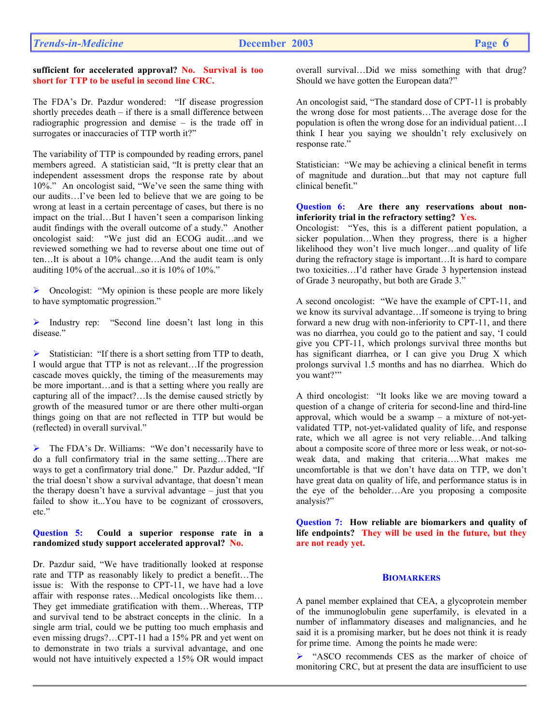#### **sufficient for accelerated approval? No. Survival is too short for TTP to be useful in second line CRC.**

The FDA's Dr. Pazdur wondered: "If disease progression shortly precedes death – if there is a small difference between radiographic progression and demise – is the trade off in surrogates or inaccuracies of TTP worth it?"

The variability of TTP is compounded by reading errors, panel members agreed. A statistician said, "It is pretty clear that an independent assessment drops the response rate by about 10%." An oncologist said, "We've seen the same thing with our audits…I've been led to believe that we are going to be wrong at least in a certain percentage of cases, but there is no impact on the trial…But I haven't seen a comparison linking audit findings with the overall outcome of a study." Another oncologist said: "We just did an ECOG audit…and we reviewed something we had to reverse about one time out of ten…It is about a 10% change…And the audit team is only auditing 10% of the accrual...so it is 10% of 10%."

 $\triangleright$  Oncologist: "My opinion is these people are more likely to have symptomatic progression."

¾ Industry rep: "Second line doesn't last long in this disease."

¾ Statistician: "If there is a short setting from TTP to death, I would argue that TTP is not as relevant…If the progression cascade moves quickly, the timing of the measurements may be more important…and is that a setting where you really are capturing all of the impact?…Is the demise caused strictly by growth of the measured tumor or are there other multi-organ things going on that are not reflected in TTP but would be (reflected) in overall survival."

¾ The FDA's Dr. Williams: "We don't necessarily have to do a full confirmatory trial in the same setting…There are ways to get a confirmatory trial done." Dr. Pazdur added, "If the trial doesn't show a survival advantage, that doesn't mean the therapy doesn't have a survival advantage – just that you failed to show it...You have to be cognizant of crossovers, etc."

## **Question 5: Could a superior response rate in a randomized study support accelerated approval? No.**

Dr. Pazdur said, "We have traditionally looked at response rate and TTP as reasonably likely to predict a benefit…The issue is: With the response to CPT-11, we have had a love affair with response rates…Medical oncologists like them… They get immediate gratification with them…Whereas, TTP and survival tend to be abstract concepts in the clinic. In a single arm trial, could we be putting too much emphasis and even missing drugs?…CPT-11 had a 15% PR and yet went on to demonstrate in two trials a survival advantage, and one would not have intuitively expected a 15% OR would impact

overall survival…Did we miss something with that drug? Should we have gotten the European data?"

An oncologist said, "The standard dose of CPT-11 is probably the wrong dose for most patients…The average dose for the population is often the wrong dose for an individual patient…I think I hear you saying we shouldn't rely exclusively on response rate."

Statistician: "We may be achieving a clinical benefit in terms of magnitude and duration...but that may not capture full clinical benefit."

#### **Question 6: Are there any reservations about noninferiority trial in the refractory setting? Yes.**

Oncologist: "Yes, this is a different patient population, a sicker population…When they progress, there is a higher likelihood they won't live much longer…and quality of life during the refractory stage is important…It is hard to compare two toxicities…I'd rather have Grade 3 hypertension instead of Grade 3 neuropathy, but both are Grade 3."

A second oncologist: "We have the example of CPT-11, and we know its survival advantage…If someone is trying to bring forward a new drug with non-inferiority to CPT-11, and there was no diarrhea, you could go to the patient and say, 'I could give you CPT-11, which prolongs survival three months but has significant diarrhea, or I can give you Drug X which prolongs survival 1.5 months and has no diarrhea. Which do you want?'"

A third oncologist: "It looks like we are moving toward a question of a change of criteria for second-line and third-line approval, which would be a swamp  $-$  a mixture of not-yetvalidated TTP, not-yet-validated quality of life, and response rate, which we all agree is not very reliable…And talking about a composite score of three more or less weak, or not-soweak data, and making that criteria….What makes me uncomfortable is that we don't have data on TTP, we don't have great data on quality of life, and performance status is in the eye of the beholder…Are you proposing a composite analysis?"

**Question 7: How reliable are biomarkers and quality of life endpoints? They will be used in the future, but they are not ready yet.** 

# **BIOMARKERS**

A panel member explained that CEA, a glycoprotein member of the immunoglobulin gene superfamily, is elevated in a number of inflammatory diseases and malignancies, and he said it is a promising marker, but he does not think it is ready for prime time. Among the points he made were:

¾ "ASCO recommends CES as the marker of choice of monitoring CRC, but at present the data are insufficient to use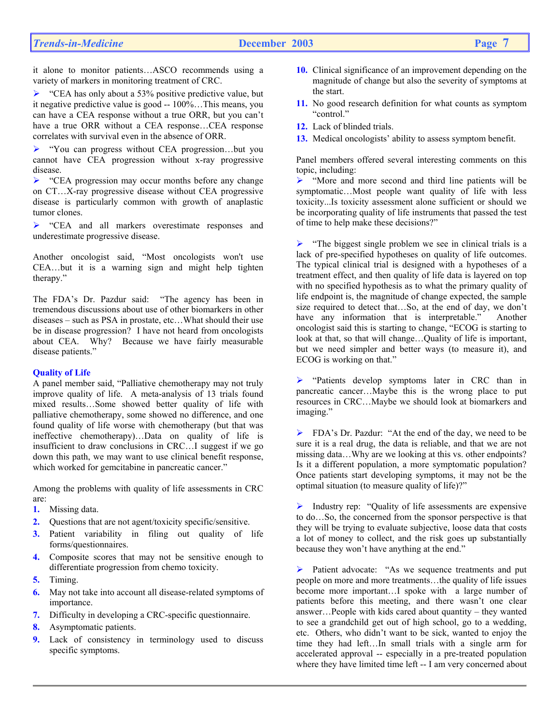it alone to monitor patients…ASCO recommends using a variety of markers in monitoring treatment of CRC.

 $\triangleright$  "CEA has only about a 53% positive predictive value, but it negative predictive value is good -- 100%…This means, you can have a CEA response without a true ORR, but you can't have a true ORR without a CEA response…CEA response correlates with survival even in the absence of ORR.

¾ "You can progress without CEA progression…but you cannot have CEA progression without x-ray progressive disease.

¾ "CEA progression may occur months before any change on CT…X-ray progressive disease without CEA progressive disease is particularly common with growth of anaplastic tumor clones.

¾ "CEA and all markers overestimate responses and underestimate progressive disease.

Another oncologist said, "Most oncologists won't use CEA…but it is a warning sign and might help tighten therapy."

The FDA's Dr. Pazdur said: "The agency has been in tremendous discussions about use of other biomarkers in other diseases – such as PSA in prostate, etc…What should their use be in disease progression? I have not heard from oncologists about CEA. Why? Because we have fairly measurable disease patients."

# **Quality of Life**

A panel member said, "Palliative chemotherapy may not truly improve quality of life. A meta-analysis of 13 trials found mixed results…Some showed better quality of life with palliative chemotherapy, some showed no difference, and one found quality of life worse with chemotherapy (but that was ineffective chemotherapy)…Data on quality of life is insufficient to draw conclusions in CRC…I suggest if we go down this path, we may want to use clinical benefit response, which worked for gemcitabine in pancreatic cancer."

Among the problems with quality of life assessments in CRC are:

- **1.** Missing data.
- **2.** Questions that are not agent/toxicity specific/sensitive.
- **3.** Patient variability in filing out quality of life forms/questionnaires.
- **4.** Composite scores that may not be sensitive enough to differentiate progression from chemo toxicity.
- **5.** Timing.
- **6.** May not take into account all disease-related symptoms of importance.
- **7.** Difficulty in developing a CRC-specific questionnaire.
- **8.** Asymptomatic patients.
- **9.** Lack of consistency in terminology used to discuss specific symptoms.
- **10.** Clinical significance of an improvement depending on the magnitude of change but also the severity of symptoms at the start.
- **11.** No good research definition for what counts as symptom "control"
- **12.** Lack of blinded trials.
- **13.** Medical oncologists' ability to assess symptom benefit.

Panel members offered several interesting comments on this topic, including:

¾ "More and more second and third line patients will be symptomatic…Most people want quality of life with less toxicity...Is toxicity assessment alone sufficient or should we be incorporating quality of life instruments that passed the test of time to help make these decisions?"

 $\triangleright$  "The biggest single problem we see in clinical trials is a lack of pre-specified hypotheses on quality of life outcomes. The typical clinical trial is designed with a hypotheses of a treatment effect, and then quality of life data is layered on top with no specified hypothesis as to what the primary quality of life endpoint is, the magnitude of change expected, the sample size required to detect that…So, at the end of day, we don't have any information that is interpretable." Another oncologist said this is starting to change, "ECOG is starting to look at that, so that will change…Quality of life is important, but we need simpler and better ways (to measure it), and ECOG is working on that."

¾ "Patients develop symptoms later in CRC than in pancreatic cancer…Maybe this is the wrong place to put resources in CRC…Maybe we should look at biomarkers and imaging."

¾ FDA's Dr. Pazdur: "At the end of the day, we need to be sure it is a real drug, the data is reliable, and that we are not missing data…Why are we looking at this vs. other endpoints? Is it a different population, a more symptomatic population? Once patients start developing symptoms, it may not be the optimal situation (to measure quality of life)?"

 $\triangleright$  Industry rep: "Quality of life assessments are expensive to do…So, the concerned from the sponsor perspective is that they will be trying to evaluate subjective, loose data that costs a lot of money to collect, and the risk goes up substantially because they won't have anything at the end."

Patient advocate: "As we sequence treatments and put people on more and more treatments…the quality of life issues become more important…I spoke with a large number of patients before this meeting, and there wasn't one clear answer…People with kids cared about quantity – they wanted to see a grandchild get out of high school, go to a wedding, etc. Others, who didn't want to be sick, wanted to enjoy the time they had left…In small trials with a single arm for accelerated approval -- especially in a pre-treated population where they have limited time left -- I am very concerned about